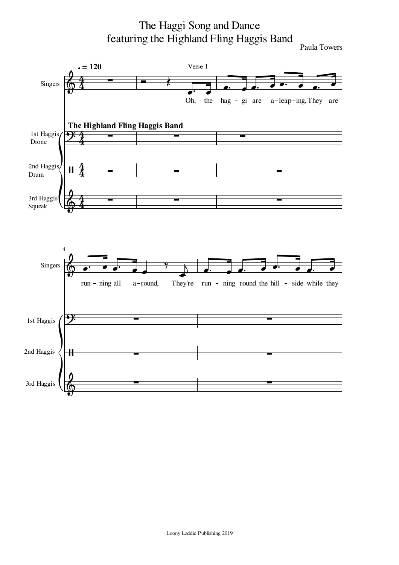## The Haggi Song and Dance featuring the Highland Fling Haggis Band

Paula Towers

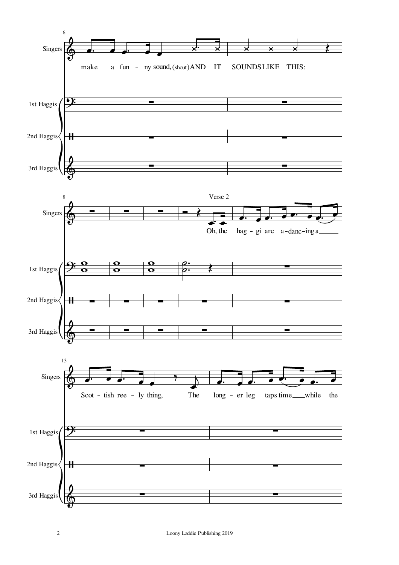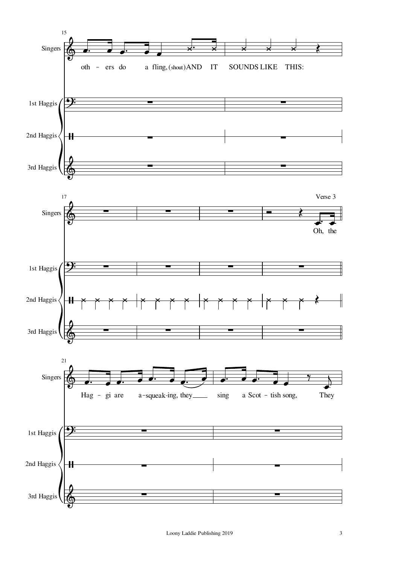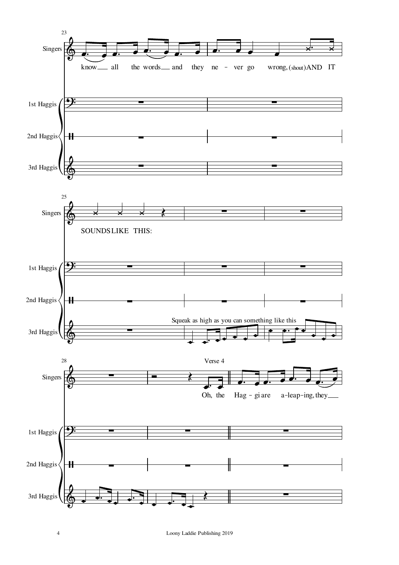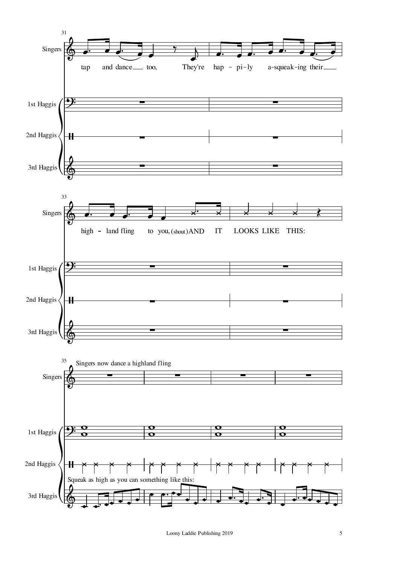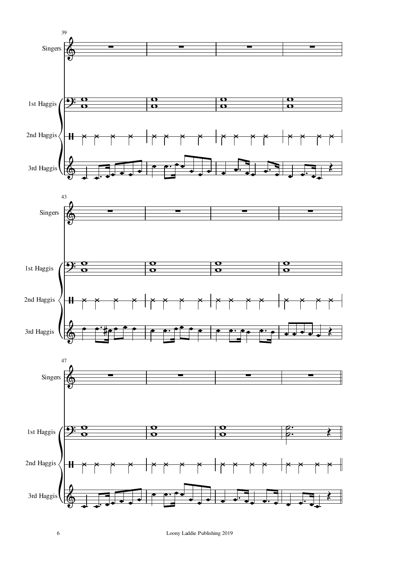